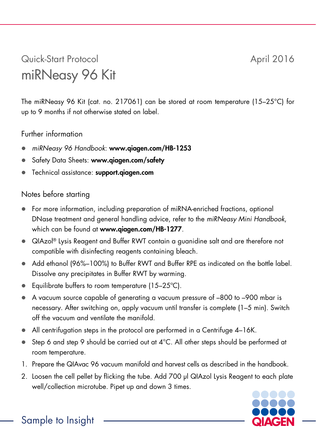## Quick-Start Protocol April 2016 miRNeasy 96 Kit

The miRNeasy 96 Kit (cat. no. 217061) can be stored at room temperature (15–25°C) for up to 9 months if not otherwise stated on label.

## Further information

- *miRNeasy 96 Handbook*: www.qiagen.com/HB-1253
- Safety Data Sheets: www.qiagen.com/safety
- **•** Technical assistance: support.giagen.com

## Notes before starting

- For more information, including preparation of miRNA-enriched fractions, optional DNase treatment and general handling advice, refer to the *miRNeasy Mini Handbook*, which can be found at www.qiagen.com/HB-1277.
- QIAzol® Lysis Reagent and Buffer RWT contain a guanidine salt and are therefore not compatible with disinfecting reagents containing bleach.
- Add ethanol (96%–100%) to Buffer RWT and Buffer RPE as indicated on the bottle label. Dissolve any precipitates in Buffer RWT by warming.
- Equilibrate buffers to room temperature (15–25°C).
- A vacuum source capable of generating a vacuum pressure of –800 to –900 mbar is necessary. After switching on, apply vacuum until transfer is complete (1–5 min). Switch off the vacuum and ventilate the manifold.
- All centrifugation steps in the protocol are performed in a Centrifuge 4–16K.
- Step 6 and step 9 should be carried out at 4°C. All other steps should be performed at room temperature.
- 1. Prepare the QIAvac 96 vacuum manifold and harvest cells as described in the handbook.
- 2. Loosen the cell pellet by flicking the tube. Add 700 µl QIAzol Lysis Reagent to each plate well/collection microtube. Pipet up and down 3 times.